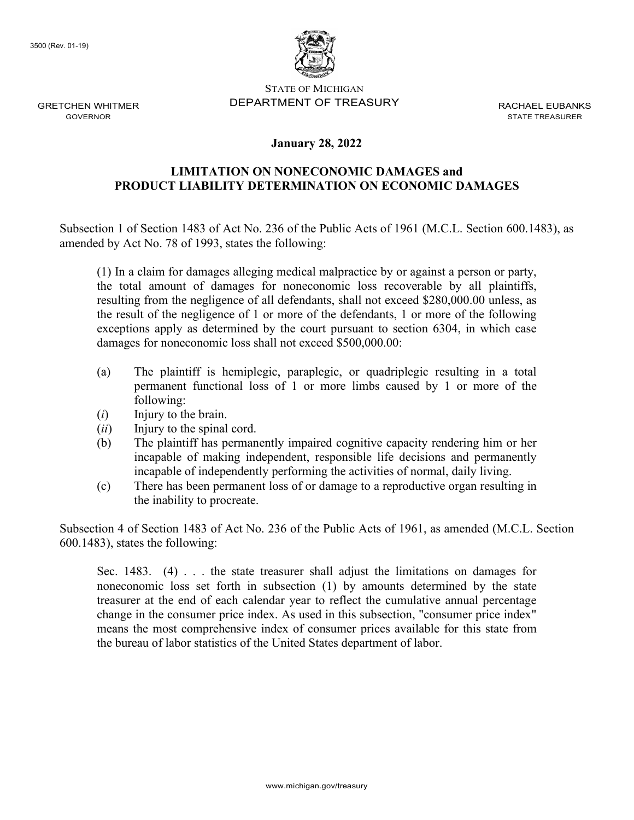

STATE OF MICHIGAN DEPARTMENT OF TREASURY RACHAEL FURANKS

STATE TREASURER

## **January 28, 2022**

## **LIMITATION ON NONECONOMIC DAMAGES and PRODUCT LIABILITY DETERMINATION ON ECONOMIC DAMAGES**

Subsection 1 of Section 1483 of Act No. 236 of the Public Acts of 1961 (M.C.L. Section 600.1483), as amended by Act No. 78 of 1993, states the following:

(1) In a claim for damages alleging medical malpractice by or against a person or party, the total amount of damages for noneconomic loss recoverable by all plaintiffs, resulting from the negligence of all defendants, shall not exceed \$280,000.00 unless, as the result of the negligence of 1 or more of the defendants, 1 or more of the following exceptions apply as determined by the court pursuant to section 6304, in which case damages for noneconomic loss shall not exceed \$500,000.00:

- (a) The plaintiff is hemiplegic, paraplegic, or quadriplegic resulting in a total permanent functional loss of 1 or more limbs caused by 1 or more of the following:
- (*i*) Injury to the brain.
- (*ii*) Injury to the spinal cord.
- (b) The plaintiff has permanently impaired cognitive capacity rendering him or her incapable of making independent, responsible life decisions and permanently incapable of independently performing the activities of normal, daily living.
- (c) There has been permanent loss of or damage to a reproductive organ resulting in the inability to procreate.

Subsection 4 of Section 1483 of Act No. 236 of the Public Acts of 1961, as amended (M.C.L. Section 600.1483), states the following:

Sec. 1483. (4) . . . the state treasurer shall adjust the limitations on damages for noneconomic loss set forth in subsection (1) by amounts determined by the state treasurer at the end of each calendar year to reflect the cumulative annual percentage change in the consumer price index. As used in this subsection, "consumer price index" means the most comprehensive index of consumer prices available for this state from the bureau of labor statistics of the United States department of labor.

GRETCHEN WHITMER GOVERNOR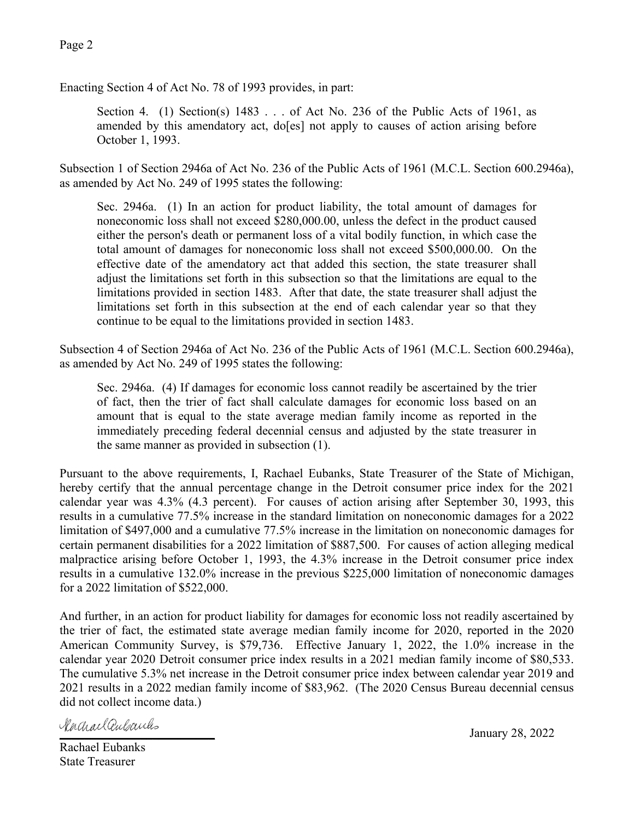Enacting Section 4 of Act No. 78 of 1993 provides, in part:

Section 4. (1) Section(s)  $1483...$  of Act No. 236 of the Public Acts of 1961, as amended by this amendatory act, do[es] not apply to causes of action arising before October 1, 1993.

Subsection 1 of Section 2946a of Act No. 236 of the Public Acts of 1961 (M.C.L. Section 600.2946a), as amended by Act No. 249 of 1995 states the following:

Sec. 2946a. (1) In an action for product liability, the total amount of damages for noneconomic loss shall not exceed \$280,000.00, unless the defect in the product caused either the person's death or permanent loss of a vital bodily function, in which case the total amount of damages for noneconomic loss shall not exceed \$500,000.00. On the effective date of the amendatory act that added this section, the state treasurer shall adjust the limitations set forth in this subsection so that the limitations are equal to the limitations provided in section 1483. After that date, the state treasurer shall adjust the limitations set forth in this subsection at the end of each calendar year so that they continue to be equal to the limitations provided in section 1483.

Subsection 4 of Section 2946a of Act No. 236 of the Public Acts of 1961 (M.C.L. Section 600.2946a), as amended by Act No. 249 of 1995 states the following:

Sec. 2946a. (4) If damages for economic loss cannot readily be ascertained by the trier of fact, then the trier of fact shall calculate damages for economic loss based on an amount that is equal to the state average median family income as reported in the immediately preceding federal decennial census and adjusted by the state treasurer in the same manner as provided in subsection (1).

Pursuant to the above requirements, I, Rachael Eubanks, State Treasurer of the State of Michigan, hereby certify that the annual percentage change in the Detroit consumer price index for the 2021 calendar year was 4.3% (4.3 percent). For causes of action arising after September 30, 1993, this results in a cumulative 77.5% increase in the standard limitation on noneconomic damages for a 2022 limitation of \$497,000 and a cumulative 77.5% increase in the limitation on noneconomic damages for certain permanent disabilities for a 2022 limitation of \$887,500. For causes of action alleging medical malpractice arising before October 1, 1993, the 4.3% increase in the Detroit consumer price index results in a cumulative 132.0% increase in the previous \$225,000 limitation of noneconomic damages for a 2022 limitation of \$522,000.

And further, in an action for product liability for damages for economic loss not readily ascertained by the trier of fact, the estimated state average median family income for 2020, reported in the 2020 American Community Survey, is \$79,736. Effective January 1, 2022, the 1.0% increase in the calendar year 2020 Detroit consumer price index results in a 2021 median family income of \$80,533. The cumulative 5.3% net increase in the Detroit consumer price index between calendar year 2019 and 2021 results in a 2022 median family income of \$83,962. (The 2020 Census Bureau decennial census did not collect income data.)

\_\_\_\_\_\_\_\_\_\_\_\_\_\_\_\_\_\_\_\_\_\_\_\_\_ January 28, 2022

Rachael Eubanks State Treasurer